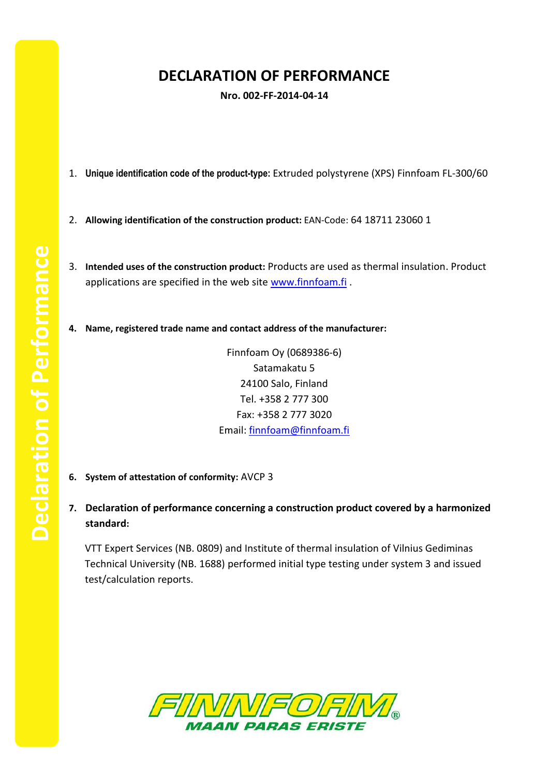## **DECLARATION OF PERFORMANCE**

**Nro. 002-FF-2014-04-14**

- 1. **Unique identification code of the product-type:** Extruded polystyrene (XPS) Finnfoam FL-300/60
- 2. **Allowing identification of the construction product:** EAN-Code: 64 18711 23060 1
- 3. **Intended uses of the construction product:** Products are used as thermal insulation. Product applications are specified in the web site [www.finnfoam.fi](http://www.finnfoam.fi/).
- **4. Name, registered trade name and contact address of the manufacturer:**

Finnfoam Oy (0689386-6) Satamakatu 5 24100 Salo, Finland Tel. +358 2 777 300 Fax: +358 2 777 3020 Email: [finnfoam@finnfoam.fi](mailto:finnfoam@finnfoam.fi)

- **6. System of attestation of conformity:** AVCP 3
- **7. Declaration of performance concerning a construction product covered by a harmonized standard:**

VTT Expert Services (NB. 0809) and Institute of thermal insulation of Vilnius Gediminas Technical University (NB. 1688) performed initial type testing under system 3 and issued test/calculation reports.